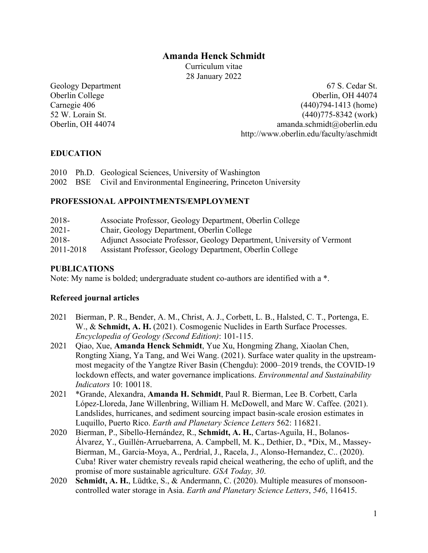# **Amanda Henck Schmidt**

Curriculum vitae 28 January 2022

Geology Department 67 S. Cedar St. Oberlin College Oberlin, OH 44074 Carnegie 406 (440)794-1413 (home) 52 W. Lorain St. (440)775-8342 (work) Oberlin, OH 44074 amanda.schmidt@oberlin.edu http://www.oberlin.edu/faculty/aschmidt

### **EDUCATION**

|  | 2010 Ph.D. Geological Sciences, University of Washington           |
|--|--------------------------------------------------------------------|
|  | 2002 BSE Civil and Environmental Engineering, Princeton University |

#### **PROFESSIONAL APPOINTMENTS/EMPLOYMENT**

| 2018-     | Associate Professor, Geology Department, Oberlin College               |
|-----------|------------------------------------------------------------------------|
| $2021 -$  | Chair, Geology Department, Oberlin College                             |
| 2018-     | Adjunct Associate Professor, Geology Department, University of Vermont |
| 2011-2018 | Assistant Professor, Geology Department, Oberlin College               |

#### **PUBLICATIONS**

Note: My name is bolded; undergraduate student co-authors are identified with a \*.

#### **Refereed journal articles**

- 2021 Bierman, P. R., Bender, A. M., Christ, A. J., Corbett, L. B., Halsted, C. T., Portenga, E. W., & **Schmidt, A. H.** (2021). Cosmogenic Nuclides in Earth Surface Processes. *Encyclopedia of Geology (Second Edition)*: 101-115.
- 2021 Qiao, Xue, **Amanda Henck Schmidt**, Yue Xu, Hongming Zhang, Xiaolan Chen, Rongting Xiang, Ya Tang, and Wei Wang. (2021). Surface water quality in the upstreammost megacity of the Yangtze River Basin (Chengdu): 2000–2019 trends, the COVID-19 lockdown effects, and water governance implications. *Environmental and Sustainability Indicators* 10: 100118.
- 2021 \*Grande, Alexandra, **Amanda H. Schmidt**, Paul R. Bierman, Lee B. Corbett, Carla López-Lloreda, Jane Willenbring, William H. McDowell, and Marc W. Caffee. (2021). Landslides, hurricanes, and sediment sourcing impact basin-scale erosion estimates in Luquillo, Puerto Rico. *Earth and Planetary Science Letters* 562: 116821.
- 2020 Bierman, P., Sibello-Hernández, R., **Schmidt, A. H.**, Cartas-Aguila, H., Bolanos-Álvarez, Y., Guillén-Arruebarrena, A. Campbell, M. K., Dethier, D., \*Dix, M., Massey-Bierman, M., Garcia-Moya, A., Perdrial, J., Racela, J., Alonso-Hernandez, C.. (2020). Cuba! River water chemistry reveals rapid cheical weathering, the echo of uplift, and the promise of more sustainable agriculture. *GSA Today, 30*.
- 2020 **Schmidt, A. H.**, Lüdtke, S., & Andermann, C. (2020). Multiple measures of monsooncontrolled water storage in Asia. *Earth and Planetary Science Letters*, *546*, 116415.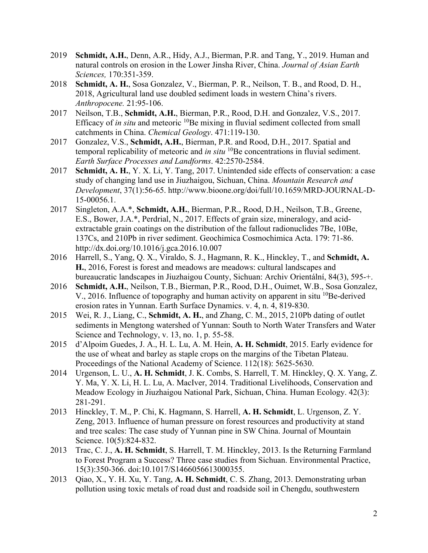- 2019 **Schmidt, A.H.**, Denn, A.R., Hidy, A.J., Bierman, P.R. and Tang, Y., 2019. Human and natural controls on erosion in the Lower Jinsha River, China. *Journal of Asian Earth Sciences,* 170:351-359.
- 2018 **Schmidt, A. H.**, Sosa Gonzalez, V., Bierman, P. R., Neilson, T. B., and Rood, D. H., 2018, Agricultural land use doubled sediment loads in western China's rivers. *Anthropocene.* 21:95-106.
- 2017 Neilson, T.B., **Schmidt, A.H.**, Bierman, P.R., Rood, D.H. and Gonzalez, V.S., 2017. Efficacy of *in situ* and meteoric <sup>10</sup>Be mixing in fluvial sediment collected from small catchments in China. *Chemical Geology*. 471:119-130.
- 2017 Gonzalez, V.S., **Schmidt, A.H.**, Bierman, P.R. and Rood, D.H., 2017. Spatial and temporal replicability of meteoric and *in situ* <sup>10</sup>Be concentrations in fluvial sediment. *Earth Surface Processes and Landforms*. 42:2570-2584.
- 2017 **Schmidt, A. H.**, Y. X. Li, Y. Tang, 2017. Unintended side effects of conservation: a case study of changing land use in Jiuzhaigou, Sichuan, China. *Mountain Research and Development*, 37(1):56-65. http://www.bioone.org/doi/full/10.1659/MRD-JOURNAL-D-15-00056.1.
- 2017 Singleton, A.A.\*, **Schmidt, A.H.**, Bierman, P.R., Rood, D.H., Neilson, T.B., Greene, E.S., Bower, J.A.\*, Perdrial, N., 2017. Effects of grain size, mineralogy, and acidextractable grain coatings on the distribution of the fallout radionuclides 7Be, 10Be, 137Cs, and 210Pb in river sediment. Geochimica Cosmochimica Acta. 179: 71-86. http://dx.doi.org/10.1016/j.gca.2016.10.007
- 2016 Harrell, S., Yang, Q. X., Viraldo, S. J., Hagmann, R. K., Hinckley, T., and **Schmidt, A. H.**, 2016, Forest is forest and meadows are meadows: cultural landscapes and bureaucratic landscapes in Jiuzhaigou County, Sichuan: Archiv Orientální, 84(3), 595-+.
- 2016 **Schmidt, A.H.**, Neilson, T.B., Bierman, P.R., Rood, D.H., Ouimet, W.B., Sosa Gonzalez, V., 2016. Influence of topography and human activity on apparent in situ  ${}^{10}Be$ -derived erosion rates in Yunnan. Earth Surface Dynamics. v. 4, n. 4, 819-830.
- 2015 Wei, R. J., Liang, C., **Schmidt, A. H.**, and Zhang, C. M., 2015, 210Pb dating of outlet sediments in Mengtong watershed of Yunnan: South to North Water Transfers and Water Science and Technology, v. 13, no. 1, p. 55-58.
- 2015 d'Alpoim Guedes, J. A., H. L. Lu, A. M. Hein, **A. H. Schmidt**, 2015. Early evidence for the use of wheat and barley as staple crops on the margins of the Tibetan Plateau. Proceedings of the National Academy of Science. 112(18): 5625-5630.
- 2014 Urgenson, L. U., **A. H. Schmidt**, J. K. Combs, S. Harrell, T. M. Hinckley, Q. X. Yang, Z. Y. Ma, Y. X. Li, H. L. Lu, A. MacIver, 2014. Traditional Livelihoods, Conservation and Meadow Ecology in Jiuzhaigou National Park, Sichuan, China. Human Ecology. 42(3): 281-291.
- 2013 Hinckley, T. M., P. Chi, K. Hagmann, S. Harrell, **A. H. Schmidt**, L. Urgenson, Z. Y. Zeng, 2013. Influence of human pressure on forest resources and productivity at stand and tree scales: The case study of Yunnan pine in SW China. Journal of Mountain Science. 10(5):824-832.
- 2013 Trac, C. J., **A. H. Schmidt**, S. Harrell, T. M. Hinckley, 2013. Is the Returning Farmland to Forest Program a Success? Three case studies from Sichuan. Environmental Practice, 15(3):350-366. doi:10.1017/S1466056613000355.
- 2013 Qiao, X., Y. H. Xu, Y. Tang, **A. H. Schmidt**, C. S. Zhang, 2013. Demonstrating urban pollution using toxic metals of road dust and roadside soil in Chengdu, southwestern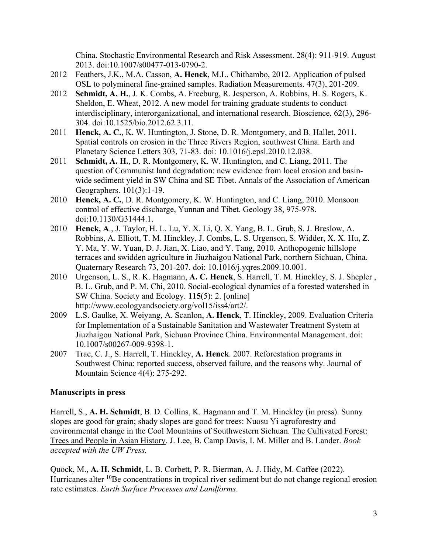China. Stochastic Environmental Research and Risk Assessment. 28(4): 911-919. August 2013. doi:10.1007/s00477-013-0790-2.

- 2012 Feathers, J.K., M.A. Casson, **A. Henck**, M.L. Chithambo, 2012. Application of pulsed OSL to polymineral fine-grained samples. Radiation Measurements. 47(3), 201-209.
- 2012 **Schmidt, A. H.**, J. K. Combs, A. Freeburg, R. Jesperson, A. Robbins, H. S. Rogers, K. Sheldon, E. Wheat, 2012. A new model for training graduate students to conduct interdisciplinary, interorganizational, and international research. Bioscience, 62(3), 296- 304. doi:10.1525/bio.2012.62.3.11.
- 2011 **Henck, A. C.**, K. W. Huntington, J. Stone, D. R. Montgomery, and B. Hallet, 2011. Spatial controls on erosion in the Three Rivers Region, southwest China. Earth and Planetary Science Letters 303, 71-83. doi: 10.1016/j.epsl.2010.12.038.
- 2011 **Schmidt, A. H.**, D. R. Montgomery, K. W. Huntington, and C. Liang, 2011. The question of Communist land degradation: new evidence from local erosion and basinwide sediment yield in SW China and SE Tibet. Annals of the Association of American Geographers. 101(3):1-19.
- 2010 **Henck, A. C.**, D. R. Montgomery, K. W. Huntington, and C. Liang, 2010. Monsoon control of effective discharge, Yunnan and Tibet. Geology 38, 975-978. doi:10.1130/G31444.1.
- 2010 **Henck, A**., J. Taylor, H. L. Lu, Y. X. Li, Q. X. Yang, B. L. Grub, S. J. Breslow, A. Robbins, A. Elliott, T. M. Hinckley, J. Combs, L. S. Urgenson, S. Widder, X. X. Hu, Z. Y. Ma, Y. W. Yuan, D. J. Jian, X. Liao, and Y. Tang, 2010. Anthopogenic hillslope terraces and swidden agriculture in Jiuzhaigou National Park, northern Sichuan, China. Quaternary Research 73, 201-207. doi: 10.1016/j.yqres.2009.10.001.
- 2010 Urgenson, L. S., R. K. Hagmann, **A. C. Henck**, S. Harrell, T. M. Hinckley, S. J. Shepler , B. L. Grub, and P. M. Chi, 2010. Social-ecological dynamics of a forested watershed in SW China. Society and Ecology. **115**(5): 2. [online] http://www.ecologyandsociety.org/vol15/iss4/art2/.
- 2009 L.S. Gaulke, X. Weiyang, A. Scanlon, **A. Henck**, T. Hinckley, 2009. Evaluation Criteria for Implementation of a Sustainable Sanitation and Wastewater Treatment System at Jiuzhaigou National Park, Sichuan Province China. Environmental Management. doi: 10.1007/s00267-009-9398-1.
- 2007 Trac, C. J., S. Harrell, T. Hinckley, **A. Henck**. 2007. Reforestation programs in Southwest China: reported success, observed failure, and the reasons why. Journal of Mountain Science 4(4): 275-292.

### **Manuscripts in press**

Harrell, S., **A. H. Schmidt**, B. D. Collins, K. Hagmann and T. M. Hinckley (in press). Sunny slopes are good for grain; shady slopes are good for trees: Nuosu Yi agroforestry and environmental change in the Cool Mountains of Southwestern Sichuan. The Cultivated Forest: Trees and People in Asian History. J. Lee, B. Camp Davis, I. M. Miller and B. Lander. *Book accepted with the UW Press.*

Quock, M., **A. H. Schmidt**, L. B. Corbett, P. R. Bierman, A. J. Hidy, M. Caffee (2022). Hurricanes alter <sup>10</sup>Be concentrations in tropical river sediment but do not change regional erosion rate estimates. *Earth Surface Processes and Landforms*.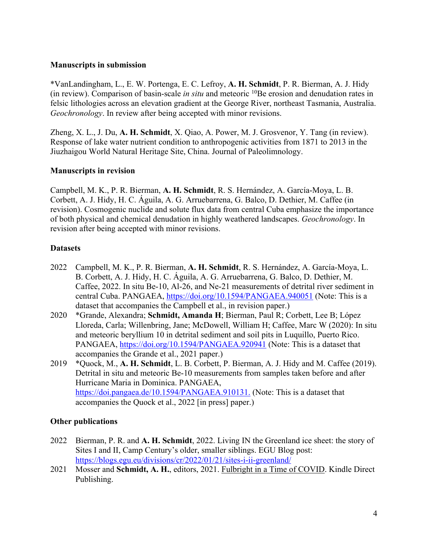#### **Manuscripts in submission**

\*VanLandingham, L., E. W. Portenga, E. C. Lefroy, **A. H. Schmidt**, P. R. Bierman, A. J. Hidy (in review). Comparison of basin-scale *in situ* and meteoric 10Be erosion and denudation rates in felsic lithologies across an elevation gradient at the George River, northeast Tasmania, Australia. *Geochronology*. In review after being accepted with minor revisions.

Zheng, X. L., J. Du, **A. H. Schmidt**, X. Qiao, A. Power, M. J. Grosvenor, Y. Tang (in review). Response of lake water nutrient condition to anthropogenic activities from 1871 to 2013 in the Jiuzhaigou World Natural Heritage Site, China. Journal of Paleolimnology.

### **Manuscripts in revision**

Campbell, M. K., P. R. Bierman, **A. H. Schmidt**, R. S. Hernández, A. García-Moya, L. B. Corbett, A. J. Hidy, H. C. Águila, A. G. Arruebarrena, G. Balco, D. Dethier, M. Caffee (in revision). Cosmogenic nuclide and solute flux data from central Cuba emphasize the importance of both physical and chemical denudation in highly weathered landscapes. *Geochronology*. In revision after being accepted with minor revisions.

### **Datasets**

- 2022 Campbell, M. K., P. R. Bierman, **A. H. Schmidt**, R. S. Hernández, A. García-Moya, L. B. Corbett, A. J. Hidy, H. C. Águila, A. G. Arruebarrena, G. Balco, D. Dethier, M. Caffee, 2022. In situ Be-10, Al-26, and Ne-21 measurements of detrital river sediment in central Cuba. PANGAEA, https://doi.org/10.1594/PANGAEA.940051 (Note: This is a dataset that accompanies the Campbell et al., in revision paper.)
- 2020 \*Grande, Alexandra; **Schmidt, Amanda H**; Bierman, Paul R; Corbett, Lee B; López Lloreda, Carla; Willenbring, Jane; McDowell, William H; Caffee, Marc W (2020): In situ and meteoric beryllium 10 in detrital sediment and soil pits in Luquillo, Puerto Rico. PANGAEA, https://doi.org/10.1594/PANGAEA.920941 (Note: This is a dataset that accompanies the Grande et al., 2021 paper.)
- 2019 \*Quock, M., **A. H. Schmidt**, L. B. Corbett, P. Bierman, A. J. Hidy and M. Caffee (2019). Detrital in situ and meteoric Be-10 measurements from samples taken before and after Hurricane Maria in Dominica. PANGAEA, https://doi.pangaea.de/10.1594/PANGAEA.910131. (Note: This is a dataset that accompanies the Quock et al., 2022 [in press] paper.)

### **Other publications**

- 2022 Bierman, P. R. and **A. H. Schmidt**, 2022. Living IN the Greenland ice sheet: the story of Sites I and II, Camp Century's older, smaller siblings. EGU Blog post: https://blogs.egu.eu/divisions/cr/2022/01/21/sites-i-ii-greenland/
- 2021 Mosser and **Schmidt, A. H.**, editors, 2021. Fulbright in a Time of COVID. Kindle Direct Publishing.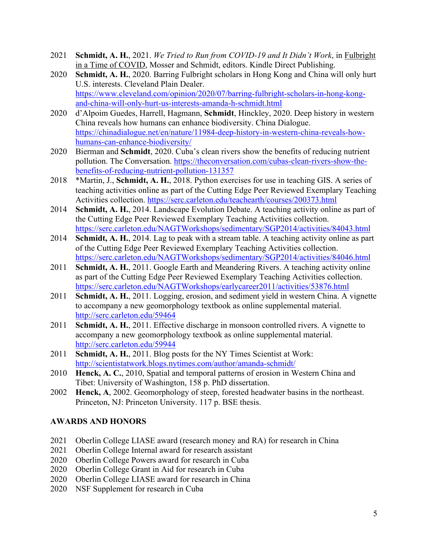- 2021 **Schmidt, A. H.**, 2021. *We Tried to Run from COVID-19 and It Didn't Work*, in Fulbright in a Time of COVID, Mosser and Schmidt, editors. Kindle Direct Publishing.
- 2020 **Schmidt, A. H.**, 2020. Barring Fulbright scholars in Hong Kong and China will only hurt U.S. interests. Cleveland Plain Dealer. https://www.cleveland.com/opinion/2020/07/barring-fulbright-scholars-in-hong-kongand-china-will-only-hurt-us-interests-amanda-h-schmidt.html
- 2020 d'Alpoim Guedes, Harrell, Hagmann, **Schmidt**, Hinckley, 2020. Deep history in western China reveals how humans can enhance biodiversity. China Dialogue. https://chinadialogue.net/en/nature/11984-deep-history-in-western-china-reveals-howhumans-can-enhance-biodiversity/
- 2020 Bierman and **Schmidt**, 2020. Cuba's clean rivers show the benefits of reducing nutrient pollution. The Conversation. https://theconversation.com/cubas-clean-rivers-show-thebenefits-of-reducing-nutrient-pollution-131357
- 2018 \*Martin, J., **Schmidt, A. H.**, 2018. Python exercises for use in teaching GIS. A series of teaching activities online as part of the Cutting Edge Peer Reviewed Exemplary Teaching Activities collection. https://serc.carleton.edu/teachearth/courses/200373.html
- 2014 **Schmidt, A. H.**, 2014. Landscape Evolution Debate. A teaching activity online as part of the Cutting Edge Peer Reviewed Exemplary Teaching Activities collection. https://serc.carleton.edu/NAGTWorkshops/sedimentary/SGP2014/activities/84043.html
- 2014 **Schmidt, A. H.**, 2014. Lag to peak with a stream table. A teaching activity online as part of the Cutting Edge Peer Reviewed Exemplary Teaching Activities collection. https://serc.carleton.edu/NAGTWorkshops/sedimentary/SGP2014/activities/84046.html
- 2011 **Schmidt, A. H.**, 2011. Google Earth and Meandering Rivers. A teaching activity online as part of the Cutting Edge Peer Reviewed Exemplary Teaching Activities collection. https://serc.carleton.edu/NAGTWorkshops/earlycareer2011/activities/53876.html
- 2011 **Schmidt, A. H.**, 2011. Logging, erosion, and sediment yield in western China. A vignette to accompany a new geomorphology textbook as online supplemental material. http://serc.carleton.edu/59464
- 2011 **Schmidt, A. H.**, 2011. Effective discharge in monsoon controlled rivers. A vignette to accompany a new geomorphology textbook as online supplemental material. http://serc.carleton.edu/59944
- 2011 **Schmidt, A. H.**, 2011. Blog posts for the NY Times Scientist at Work: http://scientistatwork.blogs.nytimes.com/author/amanda-schmidt/
- 2010 **Henck, A. C.**, 2010, Spatial and temporal patterns of erosion in Western China and Tibet: University of Washington, 158 p. PhD dissertation.
- 2002 **Henck, A**, 2002. Geomorphology of steep, forested headwater basins in the northeast. Princeton, NJ: Princeton University. 117 p. BSE thesis.

### **AWARDS AND HONORS**

- 2021 Oberlin College LIASE award (research money and RA) for research in China
- 2021 Oberlin College Internal award for research assistant
- 2020 Oberlin College Powers award for research in Cuba
- 2020 Oberlin College Grant in Aid for research in Cuba
- 2020 Oberlin College LIASE award for research in China
- 2020 NSF Supplement for research in Cuba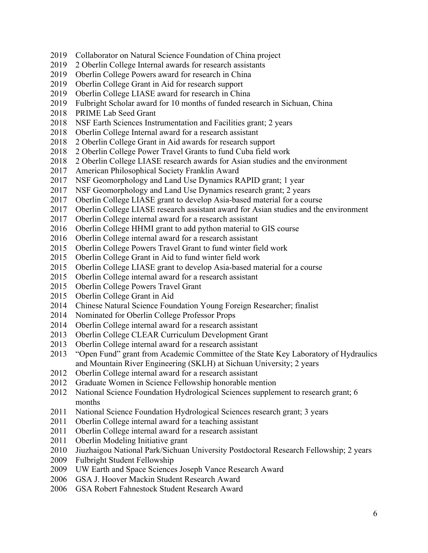- Collaborator on Natural Science Foundation of China project
- 2 Oberlin College Internal awards for research assistants
- Oberlin College Powers award for research in China
- Oberlin College Grant in Aid for research support
- Oberlin College LIASE award for research in China
- Fulbright Scholar award for 10 months of funded research in Sichuan, China
- PRIME Lab Seed Grant
- NSF Earth Sciences Instrumentation and Facilities grant; 2 years
- Oberlin College Internal award for a research assistant
- 2 Oberlin College Grant in Aid awards for research support
- 2 Oberlin College Power Travel Grants to fund Cuba field work
- 2 Oberlin College LIASE research awards for Asian studies and the environment
- American Philosophical Society Franklin Award
- NSF Geomorphology and Land Use Dynamics RAPID grant; 1 year
- NSF Geomorphology and Land Use Dynamics research grant; 2 years
- Oberlin College LIASE grant to develop Asia-based material for a course
- Oberlin College LIASE research assistant award for Asian studies and the environment
- Oberlin College internal award for a research assistant
- Oberlin College HHMI grant to add python material to GIS course
- Oberlin College internal award for a research assistant
- Oberlin College Powers Travel Grant to fund winter field work
- Oberlin College Grant in Aid to fund winter field work
- Oberlin College LIASE grant to develop Asia-based material for a course
- Oberlin College internal award for a research assistant
- Oberlin College Powers Travel Grant
- Oberlin College Grant in Aid
- Chinese Natural Science Foundation Young Foreign Researcher; finalist
- Nominated for Oberlin College Professor Props
- Oberlin College internal award for a research assistant
- Oberlin College CLEAR Curriculum Development Grant
- Oberlin College internal award for a research assistant
- 2013 "Open Fund" grant from Academic Committee of the State Key Laboratory of Hydraulics and Mountain River Engineering (SKLH) at Sichuan University; 2 years
- Oberlin College internal award for a research assistant
- Graduate Women in Science Fellowship honorable mention
- National Science Foundation Hydrological Sciences supplement to research grant; 6 months
- National Science Foundation Hydrological Sciences research grant; 3 years
- Oberlin College internal award for a teaching assistant
- Oberlin College internal award for a research assistant
- 2011 Oberlin Modeling Initiative grant
- Jiuzhaigou National Park/Sichuan University Postdoctoral Research Fellowship; 2 years
- Fulbright Student Fellowship
- UW Earth and Space Sciences Joseph Vance Research Award
- GSA J. Hoover Mackin Student Research Award
- GSA Robert Fahnestock Student Research Award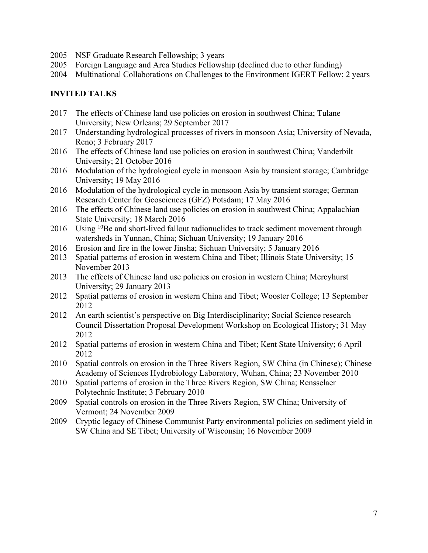- 2005 NSF Graduate Research Fellowship; 3 years
- 2005 Foreign Language and Area Studies Fellowship (declined due to other funding)
- 2004 Multinational Collaborations on Challenges to the Environment IGERT Fellow; 2 years

## **INVITED TALKS**

- 2017 The effects of Chinese land use policies on erosion in southwest China; Tulane University; New Orleans; 29 September 2017
- 2017 Understanding hydrological processes of rivers in monsoon Asia; University of Nevada, Reno; 3 February 2017
- 2016 The effects of Chinese land use policies on erosion in southwest China; Vanderbilt University; 21 October 2016
- 2016 Modulation of the hydrological cycle in monsoon Asia by transient storage; Cambridge University; 19 May 2016
- 2016 Modulation of the hydrological cycle in monsoon Asia by transient storage; German Research Center for Geosciences (GFZ) Potsdam; 17 May 2016
- 2016 The effects of Chinese land use policies on erosion in southwest China; Appalachian State University; 18 March 2016
- 2016 Using <sup>10</sup>Be and short-lived fallout radionuclides to track sediment movement through watersheds in Yunnan, China; Sichuan University; 19 January 2016
- 2016 Erosion and fire in the lower Jinsha; Sichuan University; 5 January 2016
- 2013 Spatial patterns of erosion in western China and Tibet; Illinois State University; 15 November 2013
- 2013 The effects of Chinese land use policies on erosion in western China; Mercyhurst University; 29 January 2013
- 2012 Spatial patterns of erosion in western China and Tibet; Wooster College; 13 September 2012
- 2012 An earth scientist's perspective on Big Interdisciplinarity; Social Science research Council Dissertation Proposal Development Workshop on Ecological History; 31 May 2012
- 2012 Spatial patterns of erosion in western China and Tibet; Kent State University; 6 April 2012
- 2010 Spatial controls on erosion in the Three Rivers Region, SW China (in Chinese); Chinese Academy of Sciences Hydrobiology Laboratory, Wuhan, China; 23 November 2010
- 2010 Spatial patterns of erosion in the Three Rivers Region, SW China; Rensselaer Polytechnic Institute; 3 February 2010
- 2009 Spatial controls on erosion in the Three Rivers Region, SW China; University of Vermont; 24 November 2009
- 2009 Cryptic legacy of Chinese Communist Party environmental policies on sediment yield in SW China and SE Tibet; University of Wisconsin; 16 November 2009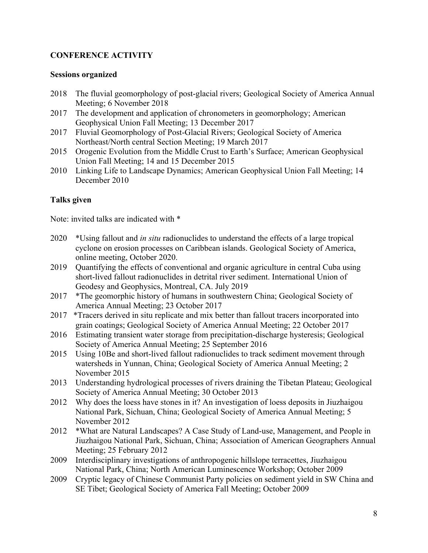# **CONFERENCE ACTIVITY**

#### **Sessions organized**

- 2018 The fluvial geomorphology of post-glacial rivers; Geological Society of America Annual Meeting; 6 November 2018
- 2017 The development and application of chronometers in geomorphology; American Geophysical Union Fall Meeting; 13 December 2017
- 2017 Fluvial Geomorphology of Post-Glacial Rivers; Geological Society of America Northeast/North central Section Meeting; 19 March 2017
- 2015 Orogenic Evolution from the Middle Crust to Earth's Surface; American Geophysical Union Fall Meeting; 14 and 15 December 2015
- 2010 Linking Life to Landscape Dynamics; American Geophysical Union Fall Meeting; 14 December 2010

## **Talks given**

Note: invited talks are indicated with \*

- 2020 \*Using fallout and *in situ* radionuclides to understand the effects of a large tropical cyclone on erosion processes on Caribbean islands. Geological Society of America, online meeting, October 2020.
- 2019 Quantifying the effects of conventional and organic agriculture in central Cuba using short-lived fallout radionuclides in detrital river sediment. International Union of Geodesy and Geophysics, Montreal, CA. July 2019
- 2017 \*The geomorphic history of humans in southwestern China; Geological Society of America Annual Meeting; 23 October 2017
- 2017 \*Tracers derived in situ replicate and mix better than fallout tracers incorporated into grain coatings; Geological Society of America Annual Meeting; 22 October 2017
- 2016 Estimating transient water storage from precipitation-discharge hysteresis; Geological Society of America Annual Meeting; 25 September 2016
- 2015 Using 10Be and short-lived fallout radionuclides to track sediment movement through watersheds in Yunnan, China; Geological Society of America Annual Meeting; 2 November 2015
- 2013 Understanding hydrological processes of rivers draining the Tibetan Plateau; Geological Society of America Annual Meeting; 30 October 2013
- 2012 Why does the loess have stones in it? An investigation of loess deposits in Jiuzhaigou National Park, Sichuan, China; Geological Society of America Annual Meeting; 5 November 2012
- 2012 \*What are Natural Landscapes? A Case Study of Land-use, Management, and People in Jiuzhaigou National Park, Sichuan, China; Association of American Geographers Annual Meeting; 25 February 2012
- 2009 Interdisciplinary investigations of anthropogenic hillslope terracettes, Jiuzhaigou National Park, China; North American Luminescence Workshop; October 2009
- 2009 Cryptic legacy of Chinese Communist Party policies on sediment yield in SW China and SE Tibet; Geological Society of America Fall Meeting; October 2009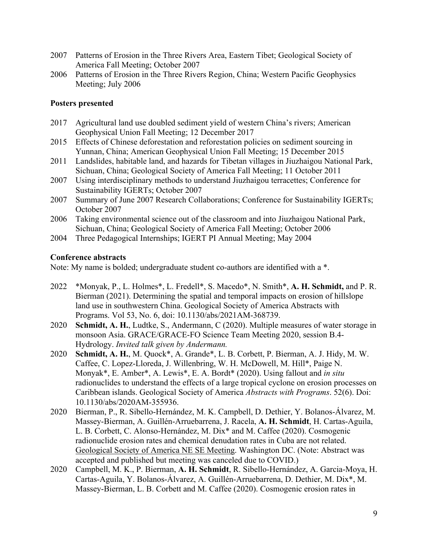- 2007 Patterns of Erosion in the Three Rivers Area, Eastern Tibet; Geological Society of America Fall Meeting; October 2007
- 2006 Patterns of Erosion in the Three Rivers Region, China; Western Pacific Geophysics Meeting; July 2006

#### **Posters presented**

- 2017 Agricultural land use doubled sediment yield of western China's rivers; American Geophysical Union Fall Meeting; 12 December 2017
- 2015 Effects of Chinese deforestation and reforestation policies on sediment sourcing in Yunnan, China; American Geophysical Union Fall Meeting; 15 December 2015
- 2011 Landslides, habitable land, and hazards for Tibetan villages in Jiuzhaigou National Park, Sichuan, China; Geological Society of America Fall Meeting; 11 October 2011
- 2007 Using interdisciplinary methods to understand Jiuzhaigou terracettes; Conference for Sustainability IGERTs; October 2007
- 2007 Summary of June 2007 Research Collaborations; Conference for Sustainability IGERTs; October 2007
- 2006 Taking environmental science out of the classroom and into Jiuzhaigou National Park, Sichuan, China; Geological Society of America Fall Meeting; October 2006
- 2004 Three Pedagogical Internships; IGERT PI Annual Meeting; May 2004

#### **Conference abstracts**

Note: My name is bolded; undergraduate student co-authors are identified with a \*.

- 2022 \*Monyak, P., L. Holmes\*, L. Fredell\*, S. Macedo\*, N. Smith\*, **A. H. Schmidt,** and P. R. Bierman (2021). Determining the spatial and temporal impacts on erosion of hillslope land use in southwestern China. Geological Society of America Abstracts with Programs. Vol 53, No. 6, doi: 10.1130/abs/2021AM-368739.
- 2020 **Schmidt, A. H.**, Ludtke, S., Andermann, C (2020). Multiple measures of water storage in monsoon Asia. GRACE/GRACE-FO Science Team Meeting 2020, session B.4- Hydrology. *Invited talk given by Andermann.*
- 2020 **Schmidt, A. H.**, M. Quock\*, A. Grande\*, L. B. Corbett, P. Bierman, A. J. Hidy, M. W. Caffee, C. Lopez-Lloreda, J. Willenbring, W. H. McDowell, M. Hill\*, Paige N. Monyak\*, E. Amber\*, A. Lewis\*, E. A. Bordt\* (2020). Using fallout and *in situ* radionuclides to understand the effects of a large tropical cyclone on erosion processes on Caribbean islands. Geological Society of America *Abstracts with Programs*. 52(6). Doi: 10.1130/abs/2020AM-355936.
- 2020 Bierman, P., R. Sibello-Hernández, M. K. Campbell, D. Dethier, Y. Bolanos-Álvarez, M. Massey-Bierman, A. Guillén-Arruebarrena, J. Racela, **A. H. Schmidt**, H. Cartas-Aguila, L. B. Corbett, C. Alonso-Hernández, M. Dix\* and M. Caffee (2020). Cosmogenic radionuclide erosion rates and chemical denudation rates in Cuba are not related. Geological Society of America NE SE Meeting. Washington DC. (Note: Abstract was accepted and published but meeting was canceled due to COVID.)
- 2020 Campbell, M. K., P. Bierman, **A. H. Schmidt**, R. Sibello-Hernández, A. Garcia-Moya, H. Cartas-Aguila, Y. Bolanos-Álvarez, A. Guillén-Arruebarrena, D. Dethier, M. Dix\*, M. Massey-Bierman, L. B. Corbett and M. Caffee (2020). Cosmogenic erosion rates in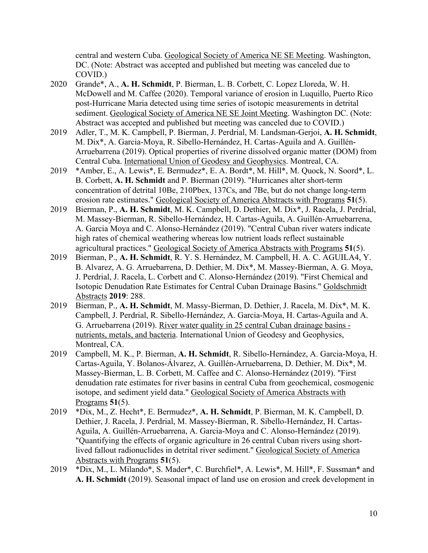central and western Cuba. Geological Society of America NE SE Meeting. Washington, DC. (Note: Abstract was accepted and published but meeting was canceled due to COVID.)

- 2020 Grande\*, A., **A. H. Schmidt**, P. Bierman, L. B. Corbett, C. Lopez Lloreda, W. H. McDowell and M. Caffee (2020). Temporal variance of erosion in Luquillo, Puerto Rico post-Hurricane Maria detected using time series of isotopic measurements in detrital sediment. Geological Society of America NE SE Joint Meeting. Washington DC. (Note: Abstract was accepted and published but meeting was canceled due to COVID.)
- 2019 Adler, T., M. K. Campbell, P. Bierman, J. Perdrial, M. Landsman-Gerjoi, **A. H. Schmidt**, M. Dix\*, A. Garcia-Moya, R. Sibello-Hernández, H. Cartas-Aguila and A. Guillén-Arruebarrena (2019). Optical properties of riverine dissolved organic matter (DOM) from Central Cuba. International Union of Geodesy and Geophysics. Montreal, CA.
- 2019 \*Amber, E., A. Lewis\*, E. Bermudez\*, E. A. Bordt\*, M. Hill\*, M. Quock, N. Soord\*, L. B. Corbett, **A. H. Schmidt** and P. Bierman (2019). "Hurricanes alter short-term concentration of detrital 10Be, 210Pbex, 137Cs, and 7Be, but do not change long-term erosion rate estimates." Geological Society of America Abstracts with Programs **51**(5).
- 2019 Bierman, P., **A. H. Schmidt**, M. K. Campbell, D. Dethier, M. Dix\*, J. Racela, J. Perdrial, M. Massey-Bierman, R. Sibello-Hernández, H. Cartas-Aguila, A. Guillén-Arruebarrena, A. Garcia Moya and C. Alonso-Hernández (2019). "Central Cuban river waters indicate high rates of chemical weathering whereas low nutrient loads reflect sustainable agricultural practices." Geological Society of America Abstracts with Programs **51**(5).
- 2019 Bierman, P., **A. H. Schmidt**, R. Y. S. Hernández, M. Campbell, H. A. C. AGUILA4, Y. B. Alvarez, A. G. Arruebarrena, D. Dethier, M. Dix\*, M. Massey-Bierman, A. G. Moya, J. Perdrial, J. Racela, L. Corbett and C. Alonso-Hernández (2019). "First Chemical and Isotopic Denudation Rate Estimates for Central Cuban Drainage Basins." Goldschmidt Abstracts **2019**: 288.
- 2019 Bierman, P., **A. H. Schmidt**, M. Massy-Bierman, D. Dethier, J. Racela, M. Dix\*, M. K. Campbell, J. Perdrial, R. Sibello-Hernández, A. Garcia-Moya, H. Cartas-Aguila and A. G. Arruebarrena (2019). River water quality in 25 central Cuban drainage basins nutrients, metals, and bacteria. International Union of Geodesy and Geophysics, Montreal, CA.
- 2019 Campbell, M. K., P. Bierman, **A. H. Schmidt**, R. Sibello-Hernández, A. Garcia-Moya, H. Cartas-Aguila, Y. Bolanos-Álvarez, A. Guillén-Arruebarrena, D. Dethier, M. Dix\*, M. Massey-Bierman, L. B. Corbett, M. Caffee and C. Alonso-Hernández (2019). "First denudation rate estimates for river basins in central Cuba from geochemical, cosmogenic isotope, and sediment yield data." Geological Society of America Abstracts with Programs **51**(5).
- 2019 \*Dix, M., Z. Hecht\*, E. Bermudez\*, **A. H. Schmidt**, P. Bierman, M. K. Campbell, D. Dethier, J. Racela, J. Perdrial, M. Massey-Bierman, R. Sibello-Hernández, H. Cartas-Aguila, A. Guillén-Arruebarrena, A. Garcia-Moya and C. Alonso-Hernández (2019). "Quantifying the effects of organic agriculture in 26 central Cuban rivers using shortlived fallout radionuclides in detrital river sediment." Geological Society of America Abstracts with Programs **51**(5).
- 2019 \*Dix, M., L. Milando\*, S. Mader\*, C. Burchfiel\*, A. Lewis\*, M. Hill\*, F. Sussman\* and **A. H. Schmidt** (2019). Seasonal impact of land use on erosion and creek development in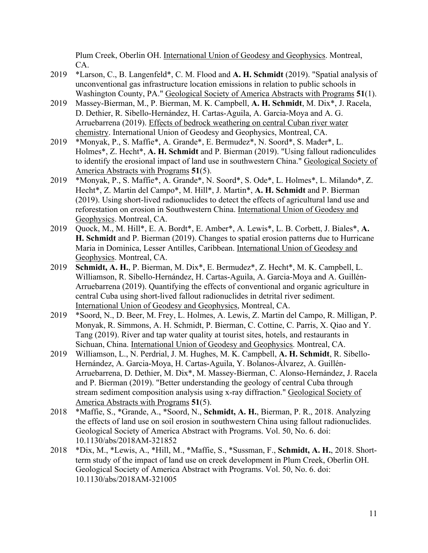Plum Creek, Oberlin OH. International Union of Geodesy and Geophysics. Montreal, CA.

- 2019 \*Larson, C., B. Langenfeld\*, C. M. Flood and **A. H. Schmidt** (2019). "Spatial analysis of unconventional gas infrastructure location emissions in relation to public schools in Washington County, PA." Geological Society of America Abstracts with Programs **51**(1).
- 2019 Massey-Bierman, M., P. Bierman, M. K. Campbell, **A. H. Schmidt**, M. Dix\*, J. Racela, D. Dethier, R. Sibello-Hernández, H. Cartas-Aguila, A. Garcia-Moya and A. G. Arruebarrena (2019). Effects of bedrock weathering on central Cuban river water chemistry. International Union of Geodesy and Geophysics, Montreal, CA.
- 2019 \*Monyak, P., S. Maffie\*, A. Grande\*, E. Bermudez\*, N. Soord\*, S. Mader\*, L. Holmes\*, Z. Hecht\*, **A. H. Schmidt** and P. Bierman (2019). "Using fallout radionculides to identify the erosional impact of land use in southwestern China." Geological Society of America Abstracts with Programs **51**(5).
- 2019 \*Monyak, P., S. Maffie\*, A. Grande\*, N. Soord\*, S. Ode\*, L. Holmes\*, L. Milando\*, Z. Hecht\*, Z. Martin del Campo\*, M. Hill\*, J. Martin\*, **A. H. Schmidt** and P. Bierman (2019). Using short-lived radionuclides to detect the effects of agricultural land use and reforestation on erosion in Southwestern China. International Union of Geodesy and Geophysics. Montreal, CA.
- 2019 Quock, M., M. Hill\*, E. A. Bordt\*, E. Amber\*, A. Lewis\*, L. B. Corbett, J. Biales\*, **A. H. Schmidt** and P. Bierman (2019). Changes to spatial erosion patterns due to Hurricane Maria in Dominica, Lesser Antilles, Caribbean. International Union of Geodesy and Geophysics. Montreal, CA.
- 2019 **Schmidt, A. H.**, P. Bierman, M. Dix\*, E. Bermudez\*, Z. Hecht\*, M. K. Campbell, L. Williamson, R. Sibello-Hernández, H. Cartas-Aguila, A. Garcia-Moya and A. Guillén-Arruebarrena (2019). Quantifying the effects of conventional and organic agriculture in central Cuba using short-lived fallout radionuclides in detrital river sediment. International Union of Geodesy and Geophysics, Montreal, CA.
- 2019 \*Soord, N., D. Beer, M. Frey, L. Holmes, A. Lewis, Z. Martin del Campo, R. Milligan, P. Monyak, R. Simmons, A. H. Schmidt, P. Bierman, C. Cottine, C. Parris, X. Qiao and Y. Tang (2019). River and tap water quality at tourist sites, hotels, and restaurants in Sichuan, China. International Union of Geodesy and Geophysics. Montreal, CA.
- 2019 Williamson, L., N. Perdrial, J. M. Hughes, M. K. Campbell, **A. H. Schmidt**, R. Sibello-Hernández, A. Garcia-Moya, H. Cartas-Aguila, Y. Bolanos-Álvarez, A. Guillén-Arruebarrena, D. Dethier, M. Dix\*, M. Massey-Bierman, C. Alonso-Hernández, J. Racela and P. Bierman (2019). "Better understanding the geology of central Cuba through stream sediment composition analysis using x-ray diffraction." Geological Society of America Abstracts with Programs **51**(5).
- 2018 \*Maffie, S., \*Grande, A., \*Soord, N., **Schmidt, A. H.**, Bierman, P. R., 2018. Analyzing the effects of land use on soil erosion in southwestern China using fallout radionuclides. Geological Society of America Abstract with Programs. Vol. 50, No. 6. doi: 10.1130/abs/2018AM-321852
- 2018 \*Dix, M., \*Lewis, A., \*Hill, M., \*Maffie, S., \*Sussman, F., **Schmidt, A. H.**, 2018. Shortterm study of the impact of land use on creek development in Plum Creek, Oberlin OH. Geological Society of America Abstract with Programs. Vol. 50, No. 6. doi: 10.1130/abs/2018AM-321005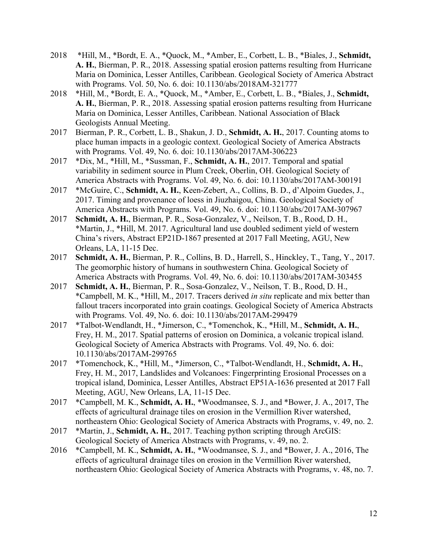- 2018 \*Hill, M., \*Bordt, E. A., \*Quock, M., \*Amber, E., Corbett, L. B., \*Biales, J., **Schmidt, A. H.**, Bierman, P. R., 2018. Assessing spatial erosion patterns resulting from Hurricane Maria on Dominica, Lesser Antilles, Caribbean. Geological Society of America Abstract with Programs. Vol. 50, No. 6. doi: 10.1130/abs/2018AM-321777
- 2018 \*Hill, M., \*Bordt, E. A., \*Quock, M., \*Amber, E., Corbett, L. B., \*Biales, J., **Schmidt, A. H.**, Bierman, P. R., 2018. Assessing spatial erosion patterns resulting from Hurricane Maria on Dominica, Lesser Antilles, Caribbean. National Association of Black Geologists Annual Meeting.
- 2017 Bierman, P. R., Corbett, L. B., Shakun, J. D., **Schmidt, A. H.**, 2017. Counting atoms to place human impacts in a geologic context. Geological Society of America Abstracts with Programs. Vol. 49, No. 6. doi: 10.1130/abs/2017AM-306223
- 2017 \*Dix, M., \*Hill, M., \*Sussman, F., **Schmidt, A. H.**, 2017. Temporal and spatial variability in sediment source in Plum Creek, Oberlin, OH. Geological Society of America Abstracts with Programs. Vol. 49, No. 6. doi: 10.1130/abs/2017AM-300191
- 2017 \*McGuire, C., **Schmidt, A. H.**, Keen-Zebert, A., Collins, B. D., d'Alpoim Guedes, J., 2017. Timing and provenance of loess in Jiuzhaigou, China. Geological Society of America Abstracts with Programs. Vol. 49, No. 6. doi: 10.1130/abs/2017AM-307967
- 2017 **Schmidt, A. H.**, Bierman, P. R., Sosa-Gonzalez, V., Neilson, T. B., Rood, D. H., \*Martin, J., \*Hill, M. 2017. Agricultural land use doubled sediment yield of western China's rivers, Abstract EP21D-1867 presented at 2017 Fall Meeting, AGU, New Orleans, LA, 11-15 Dec.
- 2017 **Schmidt, A. H.**, Bierman, P. R., Collins, B. D., Harrell, S., Hinckley, T., Tang, Y., 2017. The geomorphic history of humans in southwestern China. Geological Society of America Abstracts with Programs. Vol. 49, No. 6. doi: 10.1130/abs/2017AM-303455
- 2017 **Schmidt, A. H.**, Bierman, P. R., Sosa-Gonzalez, V., Neilson, T. B., Rood, D. H., \*Campbell, M. K., \*Hill, M., 2017. Tracers derived *in situ* replicate and mix better than fallout tracers incorporated into grain coatings. Geological Society of America Abstracts with Programs. Vol. 49, No. 6. doi: 10.1130/abs/2017AM-299479
- 2017 \*Talbot-Wendlandt, H., \*Jimerson, C., \*Tomenchok, K., \*Hill, M., **Schmidt, A. H.**, Frey, H. M., 2017. Spatial patterns of erosion on Dominica, a volcanic tropical island. Geological Society of America Abstracts with Programs. Vol. 49, No. 6. doi: 10.1130/abs/2017AM-299765
- 2017 \*Tomenchock, K., \*Hill, M., \*Jimerson, C., \*Talbot-Wendlandt, H., **Schmidt, A. H.**, Frey, H. M., 2017, Landslides and Volcanoes: Fingerprinting Erosional Processes on a tropical island, Dominica, Lesser Antilles, Abstract EP51A-1636 presented at 2017 Fall Meeting, AGU, New Orleans, LA, 11-15 Dec.
- 2017 \*Campbell, M. K., **Schmidt, A. H.**, \*Woodmansee, S. J., and \*Bower, J. A., 2017, The effects of agricultural drainage tiles on erosion in the Vermillion River watershed, northeastern Ohio: Geological Society of America Abstracts with Programs, v. 49, no. 2.
- 2017 \*Martin, J., **Schmidt, A. H.**, 2017. Teaching python scripting through ArcGIS: Geological Society of America Abstracts with Programs, v. 49, no. 2.
- 2016 \*Campbell, M. K., **Schmidt, A. H.**, \*Woodmansee, S. J., and \*Bower, J. A., 2016, The effects of agricultural drainage tiles on erosion in the Vermillion River watershed, northeastern Ohio: Geological Society of America Abstracts with Programs, v. 48, no. 7.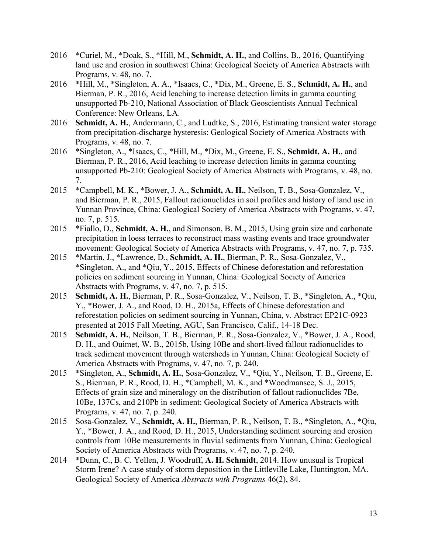- 2016 \*Curiel, M., \*Doak, S., \*Hill, M., **Schmidt, A. H.**, and Collins, B., 2016, Quantifying land use and erosion in southwest China: Geological Society of America Abstracts with Programs, v. 48, no. 7.
- 2016 \*Hill, M., \*Singleton, A. A., \*Isaacs, C., \*Dix, M., Greene, E. S., **Schmidt, A. H.**, and Bierman, P. R., 2016, Acid leaching to increase detection limits in gamma counting unsupported Pb-210, National Association of Black Geoscientists Annual Technical Conference: New Orleans, LA.
- 2016 **Schmidt, A. H.**, Andermann, C., and Ludtke, S., 2016, Estimating transient water storage from precipitation-discharge hysteresis: Geological Society of America Abstracts with Programs, v. 48, no. 7.
- 2016 \*Singleton, A., \*Isaacs, C., \*Hill, M., \*Dix, M., Greene, E. S., **Schmidt, A. H.**, and Bierman, P. R., 2016, Acid leaching to increase detection limits in gamma counting unsupported Pb-210: Geological Society of America Abstracts with Programs, v. 48, no. 7.
- 2015 \*Campbell, M. K., \*Bower, J. A., **Schmidt, A. H.**, Neilson, T. B., Sosa-Gonzalez, V., and Bierman, P. R., 2015, Fallout radionuclides in soil profiles and history of land use in Yunnan Province, China: Geological Society of America Abstracts with Programs, v. 47, no. 7, p. 515.
- 2015 \*Fiallo, D., **Schmidt, A. H.**, and Simonson, B. M., 2015, Using grain size and carbonate precipitation in loess terraces to reconstruct mass wasting events and trace groundwater movement: Geological Society of America Abstracts with Programs, v. 47, no. 7, p. 735.
- 2015 \*Martin, J., \*Lawrence, D., **Schmidt, A. H.**, Bierman, P. R., Sosa-Gonzalez, V., \*Singleton, A., and \*Qiu, Y., 2015, Effects of Chinese deforestation and reforestation policies on sediment sourcing in Yunnan, China: Geological Society of America Abstracts with Programs, v. 47, no. 7, p. 515.
- 2015 **Schmidt, A. H.**, Bierman, P. R., Sosa-Gonzalez, V., Neilson, T. B., \*Singleton, A., \*Qiu, Y., \*Bower, J. A., and Rood, D. H., 2015a, Effects of Chinese deforestation and reforestation policies on sediment sourcing in Yunnan, China, v. Abstract EP21C-0923 presented at 2015 Fall Meeting, AGU, San Francisco, Calif., 14-18 Dec.
- 2015 **Schmidt, A. H.**, Neilson, T. B., Bierman, P. R., Sosa-Gonzalez, V., \*Bower, J. A., Rood, D. H., and Ouimet, W. B., 2015b, Using 10Be and short-lived fallout radionuclides to track sediment movement through watersheds in Yunnan, China: Geological Society of America Abstracts with Programs, v. 47, no. 7, p. 240.
- 2015 \*Singleton, A., **Schmidt, A. H.**, Sosa-Gonzalez, V., \*Qiu, Y., Neilson, T. B., Greene, E. S., Bierman, P. R., Rood, D. H., \*Campbell, M. K., and \*Woodmansee, S. J., 2015, Effects of grain size and mineralogy on the distribution of fallout radionuclides 7Be, 10Be, 137Cs, and 210Pb in sediment: Geological Society of America Abstracts with Programs, v. 47, no. 7, p. 240.
- 2015 Sosa-Gonzalez, V., **Schmidt, A. H.**, Bierman, P. R., Neilson, T. B., \*Singleton, A., \*Qiu, Y., \*Bower, J. A., and Rood, D. H., 2015, Understanding sediment sourcing and erosion controls from 10Be measurements in fluvial sediments from Yunnan, China: Geological Society of America Abstracts with Programs, v. 47, no. 7, p. 240.
- 2014 \*Dunn, C., B. C. Yellen, J. Woodruff, **A. H. Schmidt**, 2014. How unusual is Tropical Storm Irene? A case study of storm deposition in the Littleville Lake, Huntington, MA. Geological Society of America *Abstracts with Programs* 46(2), 84.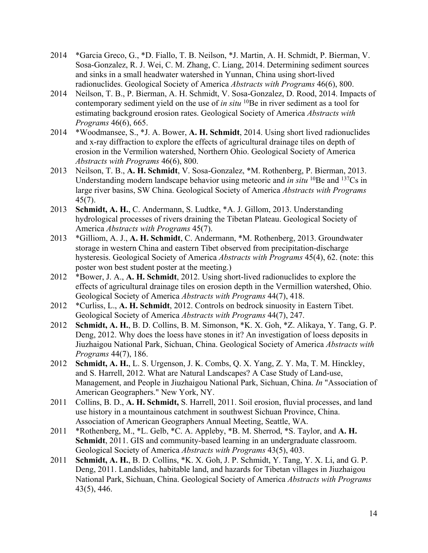- 2014 \*Garcia Greco, G., \*D. Fiallo, T. B. Neilson, \*J. Martin, A. H. Schmidt, P. Bierman, V. Sosa-Gonzalez, R. J. Wei, C. M. Zhang, C. Liang, 2014. Determining sediment sources and sinks in a small headwater watershed in Yunnan, China using short-lived radionuclides. Geological Society of America *Abstracts with Programs* 46(6), 800.
- 2014 Neilson, T. B., P. Bierman, A. H. Schmidt, V. Sosa-Gonzalez, D. Rood, 2014. Impacts of contemporary sediment yield on the use of *in situ* <sup>10</sup>Be in river sediment as a tool for estimating background erosion rates. Geological Society of America *Abstracts with Programs* 46(6), 665.
- 2014 \*Woodmansee, S., \*J. A. Bower, **A. H. Schmidt**, 2014. Using short lived radionuclides and x-ray diffraction to explore the effects of agricultural drainage tiles on depth of erosion in the Vermilion watershed, Northern Ohio. Geological Society of America *Abstracts with Programs* 46(6), 800.
- 2013 Neilson, T. B., **A. H. Schmidt**, V. Sosa-Gonzalez, \*M. Rothenberg, P. Bierman, 2013. Understanding modern landscape behavior using meteoric and *in situ* <sup>10</sup>Be and <sup>137</sup>Cs in large river basins, SW China. Geological Society of America *Abstracts with Programs* 45(7).
- 2013 **Schmidt, A. H.**, C. Andermann, S. Ludtke, \*A. J. Gillom, 2013. Understanding hydrological processes of rivers draining the Tibetan Plateau. Geological Society of America *Abstracts with Programs* 45(7).
- 2013 \*Gilliom, A. J., **A. H. Schmidt**, C. Andermann, \*M. Rothenberg, 2013. Groundwater storage in western China and eastern Tibet observed from precipitation-discharge hysteresis. Geological Society of America *Abstracts with Programs* 45(4), 62. (note: this poster won best student poster at the meeting.)
- 2012 \*Bower, J. A., **A. H. Schmidt**, 2012. Using short-lived radionuclides to explore the effects of agricultural drainage tiles on erosion depth in the Vermillion watershed, Ohio. Geological Society of America *Abstracts with Programs* 44(7), 418.
- 2012 \*Curliss, L., **A. H. Schmidt**, 2012. Controls on bedrock sinuosity in Eastern Tibet. Geological Society of America *Abstracts with Programs* 44(7), 247.
- 2012 **Schmidt, A. H.**, B. D. Collins, B. M. Simonson, \*K. X. Goh, \*Z. Alikaya, Y. Tang, G. P. Deng, 2012. Why does the loess have stones in it? An investigation of loess deposits in Jiuzhaigou National Park, Sichuan, China. Geological Society of America *Abstracts with Programs* 44(7), 186.
- 2012 **Schmidt, A. H.**, L. S. Urgenson, J. K. Combs, Q. X. Yang, Z. Y. Ma, T. M. Hinckley, and S. Harrell, 2012. What are Natural Landscapes? A Case Study of Land-use, Management, and People in Jiuzhaigou National Park, Sichuan, China. *In* "Association of American Geographers." New York, NY.
- 2011 Collins, B. D., **A. H. Schmidt,** S. Harrell, 2011. Soil erosion, fluvial processes, and land use history in a mountainous catchment in southwest Sichuan Province, China. Association of American Geographers Annual Meeting, Seattle, WA.
- 2011 \*Rothenberg, M., \*L. Gelb, \*C. A. Appleby, \*B. M. Sherrod, \*S. Taylor, and **A. H. Schmidt**, 2011. GIS and community-based learning in an undergraduate classroom. Geological Society of America *Abstracts with Programs* 43(5), 403.
- 2011 **Schmidt, A. H.**, B. D. Collins, \*K. X. Goh, J. P. Schmidt, Y. Tang, Y. X. Li, and G. P. Deng, 2011. Landslides, habitable land, and hazards for Tibetan villages in Jiuzhaigou National Park, Sichuan, China. Geological Society of America *Abstracts with Programs* 43(5), 446.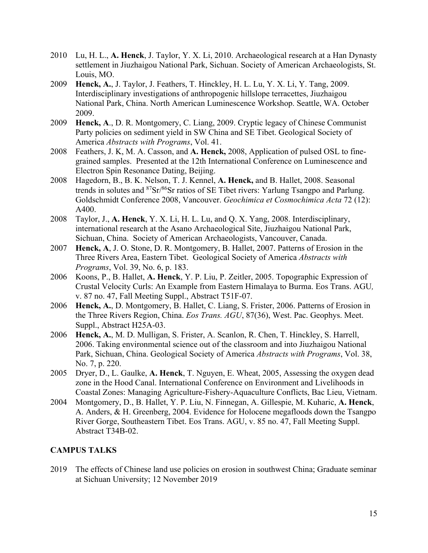- 2010 Lu, H. L., **A. Henck**, J. Taylor, Y. X. Li, 2010. Archaeological research at a Han Dynasty settlement in Jiuzhaigou National Park, Sichuan. Society of American Archaeologists, St. Louis, MO.
- 2009 **Henck, A.**, J. Taylor, J. Feathers, T. Hinckley, H. L. Lu, Y. X. Li, Y. Tang, 2009. Interdisciplinary investigations of anthropogenic hillslope terracettes, Jiuzhaigou National Park, China. North American Luminescence Workshop. Seattle, WA. October 2009.
- 2009 **Henck, A**., D. R. Montgomery, C. Liang, 2009. Cryptic legacy of Chinese Communist Party policies on sediment yield in SW China and SE Tibet. Geological Society of America *Abstracts with Programs*, Vol. 41.
- 2008 Feathers, J. K, M. A. Casson, and **A. Henck,** 2008, Application of pulsed OSL to finegrained samples. Presented at the 12th International Conference on Luminescence and Electron Spin Resonance Dating, Beijing.
- 2008 Hagedorn, B., B. K. Nelson, T. J. Kennel, **A. Henck,** and B. Hallet, 2008. Seasonal trends in solutes and 87Sr/86Sr ratios of SE Tibet rivers: Yarlung Tsangpo and Parlung. Goldschmidt Conference 2008, Vancouver. *Geochimica et Cosmochimica Acta* 72 (12): A400.
- 2008 Taylor, J., **A. Henck**, Y. X. Li, H. L. Lu, and Q. X. Yang, 2008. Interdisciplinary, international research at the Asano Archaeological Site, Jiuzhaigou National Park, Sichuan, China. Society of American Archaeologists, Vancouver, Canada.
- 2007 **Henck, A**, J. O. Stone, D. R. Montgomery, B. Hallet, 2007. Patterns of Erosion in the Three Rivers Area, Eastern Tibet. Geological Society of America *Abstracts with Programs*, Vol. 39, No. 6, p. 183.
- 2006 Koons, P., B. Hallet, **A. Henck**, Y. P. Liu, P. Zeitler, 2005. Topographic Expression of Crustal Velocity Curls: An Example from Eastern Himalaya to Burma. Eos Trans. AGU*,* v. 87 no. 47, Fall Meeting Suppl., Abstract T51F-07.
- 2006 **Henck, A.**, D. Montgomery, B. Hallet, C. Liang, S. Frister, 2006. Patterns of Erosion in the Three Rivers Region, China. *Eos Trans. AGU*, 87(36), West. Pac. Geophys. Meet. Suppl., Abstract H25A-03.
- 2006 **Henck, A.**, M. D. Mulligan, S. Frister, A. Scanlon, R. Chen, T. Hinckley, S. Harrell, 2006. Taking environmental science out of the classroom and into Jiuzhaigou National Park, Sichuan, China. Geological Society of America *Abstracts with Programs*, Vol. 38, No. 7, p. 220.
- 2005 Dryer, D., L. Gaulke, **A. Henck**, T. Nguyen, E. Wheat, 2005, Assessing the oxygen dead zone in the Hood Canal. International Conference on Environment and Livelihoods in Coastal Zones: Managing Agriculture-Fishery-Aquaculture Conflicts, Bac Lieu, Vietnam.
- 2004 Montgomery, D., B. Hallet, Y. P. Liu, N. Finnegan, A. Gillespie, M. Kuharic, **A. Henck**, A. Anders, & H. Greenberg, 2004. Evidence for Holocene megafloods down the Tsangpo River Gorge, Southeastern Tibet. Eos Trans. AGU, v. 85 no. 47, Fall Meeting Suppl. Abstract T34B-02.

### **CAMPUS TALKS**

2019 The effects of Chinese land use policies on erosion in southwest China; Graduate seminar at Sichuan University; 12 November 2019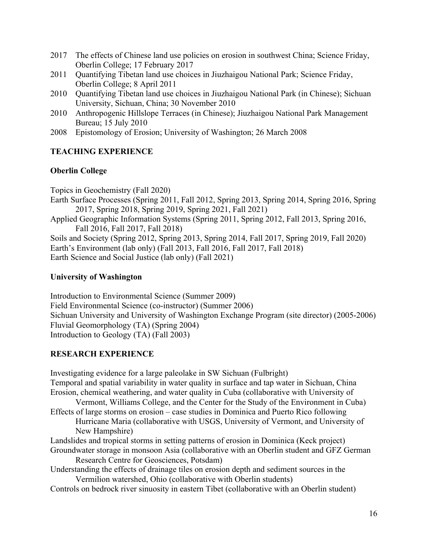- 2017 The effects of Chinese land use policies on erosion in southwest China; Science Friday, Oberlin College; 17 February 2017
- 2011 Quantifying Tibetan land use choices in Jiuzhaigou National Park; Science Friday, Oberlin College; 8 April 2011
- 2010 Quantifying Tibetan land use choices in Jiuzhaigou National Park (in Chinese); Sichuan University, Sichuan, China; 30 November 2010
- 2010 Anthropogenic Hillslope Terraces (in Chinese); Jiuzhaigou National Park Management Bureau; 15 July 2010
- 2008 Epistomology of Erosion; University of Washington; 26 March 2008

# **TEACHING EXPERIENCE**

# **Oberlin College**

Topics in Geochemistry (Fall 2020)

- Earth Surface Processes (Spring 2011, Fall 2012, Spring 2013, Spring 2014, Spring 2016, Spring 2017, Spring 2018, Spring 2019, Spring 2021, Fall 2021)
- Applied Geographic Information Systems (Spring 2011, Spring 2012, Fall 2013, Spring 2016, Fall 2016, Fall 2017, Fall 2018)

Soils and Society (Spring 2012, Spring 2013, Spring 2014, Fall 2017, Spring 2019, Fall 2020) Earth's Environment (lab only) (Fall 2013, Fall 2016, Fall 2017, Fall 2018) Earth Science and Social Justice (lab only) (Fall 2021)

# **University of Washington**

Introduction to Environmental Science (Summer 2009) Field Environmental Science (co-instructor) (Summer 2006) Sichuan University and University of Washington Exchange Program (site director) (2005-2006) Fluvial Geomorphology (TA) (Spring 2004) Introduction to Geology (TA) (Fall 2003)

# **RESEARCH EXPERIENCE**

Investigating evidence for a large paleolake in SW Sichuan (Fulbright) Temporal and spatial variability in water quality in surface and tap water in Sichuan, China Erosion, chemical weathering, and water quality in Cuba (collaborative with University of Vermont, Williams College, and the Center for the Study of the Environment in Cuba) Effects of large storms on erosion – case studies in Dominica and Puerto Rico following Hurricane Maria (collaborative with USGS, University of Vermont, and University of New Hampshire) Landslides and tropical storms in setting patterns of erosion in Dominica (Keck project) Groundwater storage in monsoon Asia (collaborative with an Oberlin student and GFZ German Research Centre for Geosciences, Potsdam) Understanding the effects of drainage tiles on erosion depth and sediment sources in the Vermilion watershed, Ohio (collaborative with Oberlin students)

Controls on bedrock river sinuosity in eastern Tibet (collaborative with an Oberlin student)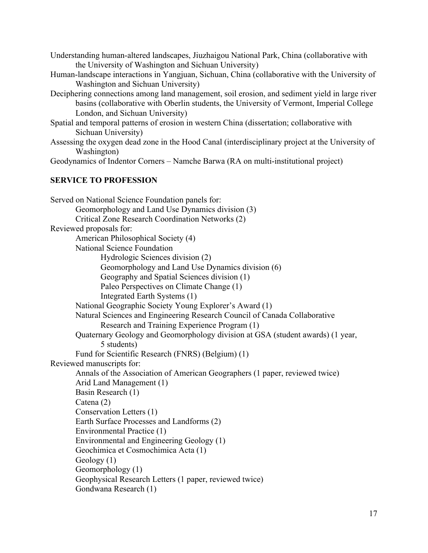| Understanding human-altered landscapes, Jiuzhaigou National Park, China (collaborative with |  |
|---------------------------------------------------------------------------------------------|--|
| the University of Washington and Sichuan University)                                        |  |

- Human-landscape interactions in Yangjuan, Sichuan, China (collaborative with the University of Washington and Sichuan University)
- Deciphering connections among land management, soil erosion, and sediment yield in large river basins (collaborative with Oberlin students, the University of Vermont, Imperial College London, and Sichuan University)
- Spatial and temporal patterns of erosion in western China (dissertation; collaborative with Sichuan University)
- Assessing the oxygen dead zone in the Hood Canal (interdisciplinary project at the University of Washington)

Geodynamics of Indentor Corners – Namche Barwa (RA on multi-institutional project)

#### **SERVICE TO PROFESSION**

| Served on National Science Foundation panels for:                              |  |  |  |
|--------------------------------------------------------------------------------|--|--|--|
| Geomorphology and Land Use Dynamics division (3)                               |  |  |  |
| Critical Zone Research Coordination Networks (2)                               |  |  |  |
| Reviewed proposals for:                                                        |  |  |  |
| American Philosophical Society (4)                                             |  |  |  |
| National Science Foundation                                                    |  |  |  |
| Hydrologic Sciences division (2)                                               |  |  |  |
| Geomorphology and Land Use Dynamics division (6)                               |  |  |  |
| Geography and Spatial Sciences division (1)                                    |  |  |  |
| Paleo Perspectives on Climate Change (1)                                       |  |  |  |
| Integrated Earth Systems (1)                                                   |  |  |  |
| National Geographic Society Young Explorer's Award (1)                         |  |  |  |
| Natural Sciences and Engineering Research Council of Canada Collaborative      |  |  |  |
| Research and Training Experience Program (1)                                   |  |  |  |
| Quaternary Geology and Geomorphology division at GSA (student awards) (1 year, |  |  |  |
| 5 students)                                                                    |  |  |  |
| Fund for Scientific Research (FNRS) (Belgium) (1)                              |  |  |  |
| Reviewed manuscripts for:                                                      |  |  |  |
| Annals of the Association of American Geographers (1 paper, reviewed twice)    |  |  |  |
| Arid Land Management (1)                                                       |  |  |  |
| Basin Research (1)                                                             |  |  |  |
| Catena (2)                                                                     |  |  |  |
| Conservation Letters (1)                                                       |  |  |  |
| Earth Surface Processes and Landforms (2)                                      |  |  |  |
| Environmental Practice (1)                                                     |  |  |  |
| Environmental and Engineering Geology (1)                                      |  |  |  |
| Geochimica et Cosmochimica Acta (1)                                            |  |  |  |
| Geology $(1)$                                                                  |  |  |  |
| Geomorphology (1)                                                              |  |  |  |
| Geophysical Research Letters (1 paper, reviewed twice)                         |  |  |  |
| Gondwana Research (1)                                                          |  |  |  |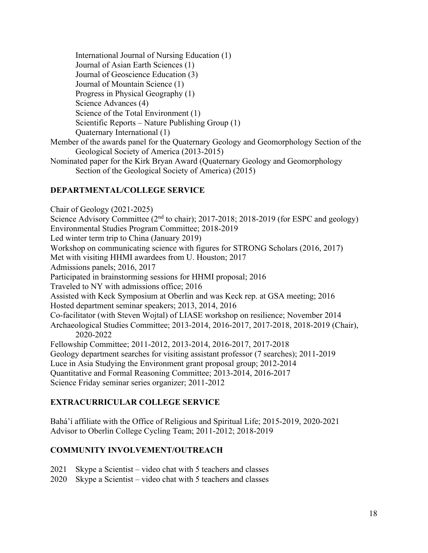International Journal of Nursing Education (1) Journal of Asian Earth Sciences (1) Journal of Geoscience Education (3) Journal of Mountain Science (1) Progress in Physical Geography (1) Science Advances (4) Science of the Total Environment (1) Scientific Reports – Nature Publishing Group (1) Quaternary International (1) Member of the awards panel for the Quaternary Geology and Geomorphology Section of the Geological Society of America (2013-2015) Nominated paper for the Kirk Bryan Award (Quaternary Geology and Geomorphology Section of the Geological Society of America) (2015)

## **DEPARTMENTAL/COLLEGE SERVICE**

Chair of Geology (2021-2025) Science Advisory Committee (2<sup>nd</sup> to chair); 2017-2018; 2018-2019 (for ESPC and geology) Environmental Studies Program Committee; 2018-2019 Led winter term trip to China (January 2019) Workshop on communicating science with figures for STRONG Scholars (2016, 2017) Met with visiting HHMI awardees from U. Houston; 2017 Admissions panels; 2016, 2017 Participated in brainstorming sessions for HHMI proposal; 2016 Traveled to NY with admissions office; 2016 Assisted with Keck Symposium at Oberlin and was Keck rep. at GSA meeting; 2016 Hosted department seminar speakers; 2013, 2014, 2016 Co-facilitator (with Steven Wojtal) of LIASE workshop on resilience; November 2014 Archaeological Studies Committee; 2013-2014, 2016-2017, 2017-2018, 2018-2019 (Chair), 2020-2022 Fellowship Committee; 2011-2012, 2013-2014, 2016-2017, 2017-2018 Geology department searches for visiting assistant professor (7 searches); 2011-2019 Luce in Asia Studying the Environment grant proposal group; 2012-2014 Quantitative and Formal Reasoning Committee; 2013-2014, 2016-2017 Science Friday seminar series organizer; 2011-2012

# **EXTRACURRICULAR COLLEGE SERVICE**

Bahá'í affiliate with the Office of Religious and Spiritual Life; 2015-2019, 2020-2021 Advisor to Oberlin College Cycling Team; 2011-2012; 2018-2019

# **COMMUNITY INVOLVEMENT/OUTREACH**

- 2021 Skype a Scientist video chat with 5 teachers and classes
- 2020 Skype a Scientist video chat with 5 teachers and classes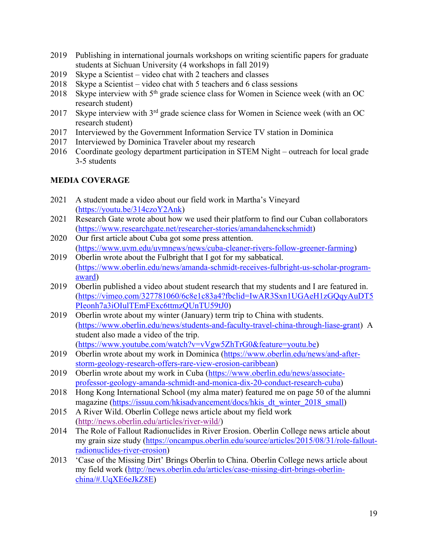- 2019 Publishing in international journals workshops on writing scientific papers for graduate students at Sichuan University (4 workshops in fall 2019)
- 2019 Skype a Scientist video chat with 2 teachers and classes
- 2018 Skype a Scientist video chat with 5 teachers and 6 class sessions
- 2018 Skype interview with 5<sup>th</sup> grade science class for Women in Science week (with an OC research student)
- 2017 Skype interview with 3<sup>rd</sup> grade science class for Women in Science week (with an OC research student)
- 2017 Interviewed by the Government Information Service TV station in Dominica
- 2017 Interviewed by Dominica Traveler about my research
- 2016 Coordinate geology department participation in STEM Night outreach for local grade 3-5 students

## **MEDIA COVERAGE**

- 2021 A student made a video about our field work in Martha's Vineyard (https://youtu.be/314czoY2Ank)
- 2021 Research Gate wrote about how we used their platform to find our Cuban collaborators (https://www.researchgate.net/researcher-stories/amandahenckschmidt)
- 2020 Our first article about Cuba got some press attention. (https://www.uvm.edu/uvmnews/news/cuba-cleaner-rivers-follow-greener-farming)
- 2019 Oberlin wrote about the Fulbright that I got for my sabbatical. (https://www.oberlin.edu/news/amanda-schmidt-receives-fulbright-us-scholar-programaward)
- 2019 Oberlin published a video about student research that my students and I are featured in. (https://vimeo.com/327781060/6c8e1c83a4?fbclid=IwAR3Sxn1UGAeH1zGQqyAuDT5 PIeonh7a3iOIulTEmFExc6ttmzQUnTU59tJ0)
- 2019 Oberlin wrote about my winter (January) term trip to China with students. (https://www.oberlin.edu/news/students-and-faculty-travel-china-through-liase-grant) A student also made a video of the trip. (https://www.youtube.com/watch?v=vVgw5ZhTrG0&feature=youtu.be)
- 2019 Oberlin wrote about my work in Dominica (https://www.oberlin.edu/news/and-afterstorm-geology-research-offers-rare-view-erosion-caribbean)
- 2019 Oberlin wrote about my work in Cuba (https://www.oberlin.edu/news/associateprofessor-geology-amanda-schmidt-and-monica-dix-20-conduct-research-cuba)
- 2018 Hong Kong International School (my alma mater) featured me on page 50 of the alumni magazine (https://issuu.com/hkisadvancement/docs/hkis\_dt\_winter\_2018\_small)
- 2015 A River Wild. Oberlin College news article about my field work (http://news.oberlin.edu/articles/river-wild/)
- 2014 The Role of Fallout Radionuclides in River Erosion. Oberlin College news article about my grain size study (https://oncampus.oberlin.edu/source/articles/2015/08/31/role-falloutradionuclides-river-erosion)
- 2013 'Case of the Missing Dirt' Brings Oberlin to China. Oberlin College news article about my field work (http://news.oberlin.edu/articles/case-missing-dirt-brings-oberlinchina/#.UqXE6eJkZ8E)